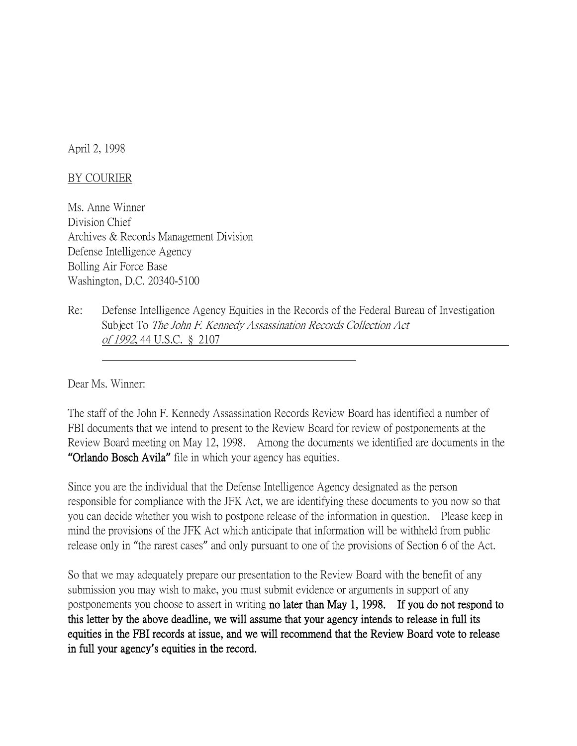April 2, 1998

## BY COURIER

Ms. Anne Winner Division Chief Archives & Records Management Division Defense Intelligence Agency Bolling Air Force Base Washington, D.C. 20340-5100

Re: Defense Intelligence Agency Equities in the Records of the Federal Bureau of Investigation Subject To The John F. Kennedy Assassination Records Collection Act of 1992, 44 U.S.C. § 2107

Dear Ms. Winner:

The staff of the John F. Kennedy Assassination Records Review Board has identified a number of FBI documents that we intend to present to the Review Board for review of postponements at the Review Board meeting on May 12, 1998. Among the documents we identified are documents in the **"**Orlando Bosch Avila**"** file in which your agency has equities.

Since you are the individual that the Defense Intelligence Agency designated as the person responsible for compliance with the JFK Act, we are identifying these documents to you now so that you can decide whether you wish to postpone release of the information in question. Please keep in mind the provisions of the JFK Act which anticipate that information will be withheld from public release only in "the rarest cases" and only pursuant to one of the provisions of Section 6 of the Act.

So that we may adequately prepare our presentation to the Review Board with the benefit of any submission you may wish to make, you must submit evidence or arguments in support of any postponements you choose to assert in writing no later than May 1, 1998. If you do not respond to this letter by the above deadline, we will assume that your agency intends to release in full its equities in the FBI records at issue, and we will recommend that the Review Board vote to release in full your agency**'**s equities in the record.